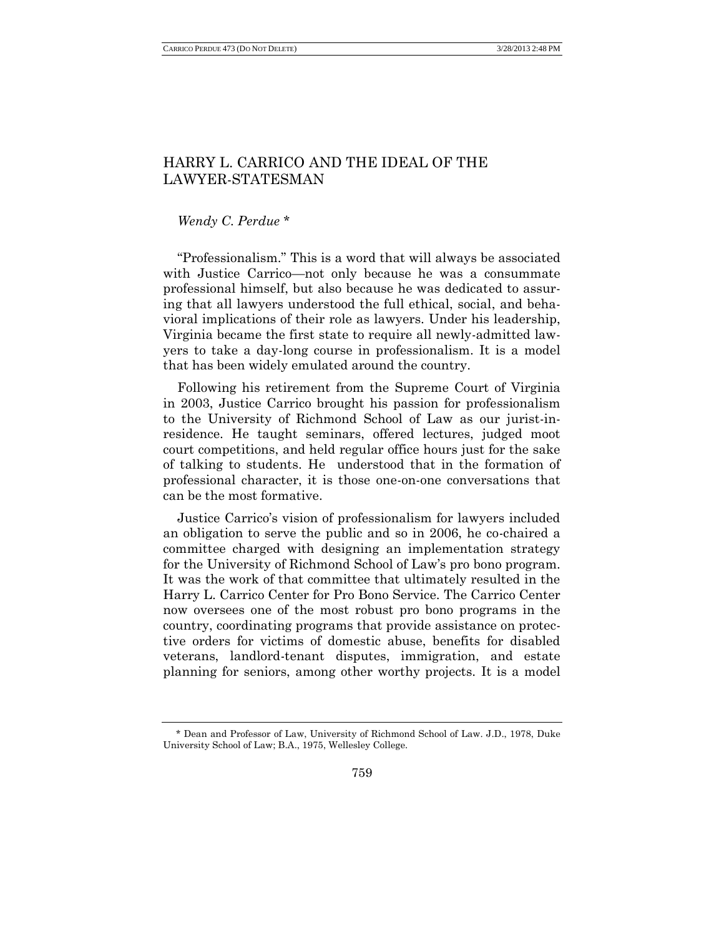## HARRY L. CARRICO AND THE IDEAL OF THE LAWYER-STATESMAN

## *Wendy C. Perdue* \*

"Professionalism." This is a word that will always be associated with Justice Carrico—not only because he was a consummate professional himself, but also because he was dedicated to assuring that all lawyers understood the full ethical, social, and behavioral implications of their role as lawyers. Under his leadership, Virginia became the first state to require all newly-admitted lawyers to take a day-long course in professionalism. It is a model that has been widely emulated around the country.

Following his retirement from the Supreme Court of Virginia in 2003, Justice Carrico brought his passion for professionalism to the University of Richmond School of Law as our jurist-inresidence. He taught seminars, offered lectures, judged moot court competitions, and held regular office hours just for the sake of talking to students. He understood that in the formation of professional character, it is those one-on-one conversations that can be the most formative.

Justice Carrico's vision of professionalism for lawyers included an obligation to serve the public and so in 2006, he co-chaired a committee charged with designing an implementation strategy for the University of Richmond School of Law's pro bono program. It was the work of that committee that ultimately resulted in the Harry L. Carrico Center for Pro Bono Service. The Carrico Center now oversees one of the most robust pro bono programs in the country, coordinating programs that provide assistance on protective orders for victims of domestic abuse, benefits for disabled veterans, landlord-tenant disputes, immigration, and estate planning for seniors, among other worthy projects. It is a model

<sup>\*</sup> Dean and Professor of Law, University of Richmond School of Law. J.D., 1978, Duke University School of Law; B.A., 1975, Wellesley College.